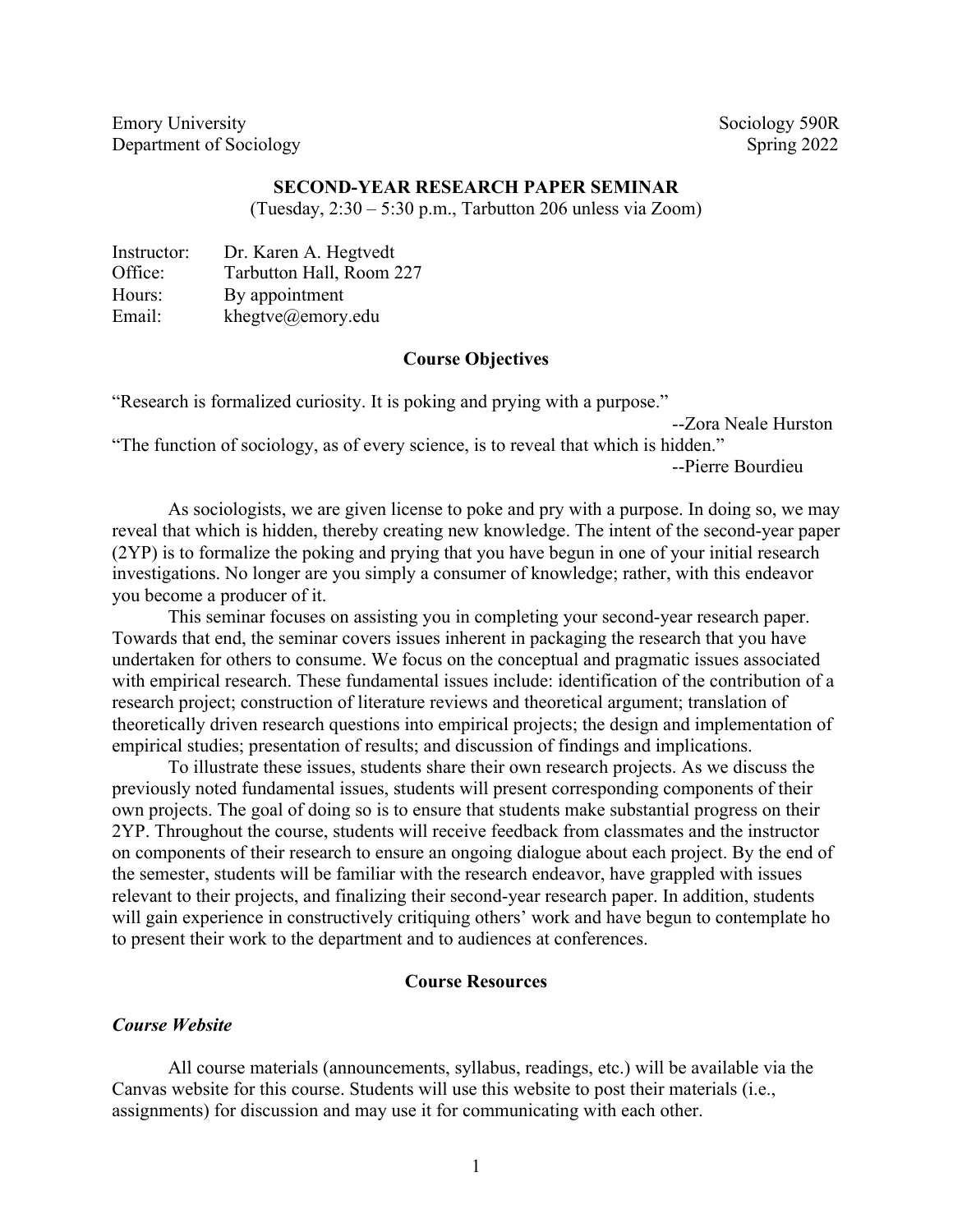Emory University Sociology 590R Department of Sociology Spring 2022

#### **SECOND-YEAR RESEARCH PAPER SEMINAR**

(Tuesday, 2:30 – 5:30 p.m., Tarbutton 206 unless via Zoom)

| Instructor: | Dr. Karen A. Hegtvedt    |
|-------------|--------------------------|
| Office:     | Tarbutton Hall, Room 227 |
| Hours:      | By appointment           |
| Email:      | khegtve@emory.edu        |

## **Course Objectives**

"Research is formalized curiosity. It is poking and prying with a purpose."

```
--Zora Neale Hurston
```
"The function of sociology, as of every science, is to reveal that which is hidden." --Pierre Bourdieu

As sociologists, we are given license to poke and pry with a purpose. In doing so, we may reveal that which is hidden, thereby creating new knowledge. The intent of the second-year paper (2YP) is to formalize the poking and prying that you have begun in one of your initial research investigations. No longer are you simply a consumer of knowledge; rather, with this endeavor you become a producer of it.

This seminar focuses on assisting you in completing your second-year research paper. Towards that end, the seminar covers issues inherent in packaging the research that you have undertaken for others to consume. We focus on the conceptual and pragmatic issues associated with empirical research. These fundamental issues include: identification of the contribution of a research project; construction of literature reviews and theoretical argument; translation of theoretically driven research questions into empirical projects; the design and implementation of empirical studies; presentation of results; and discussion of findings and implications.

To illustrate these issues, students share their own research projects. As we discuss the previously noted fundamental issues, students will present corresponding components of their own projects. The goal of doing so is to ensure that students make substantial progress on their 2YP. Throughout the course, students will receive feedback from classmates and the instructor on components of their research to ensure an ongoing dialogue about each project. By the end of the semester, students will be familiar with the research endeavor, have grappled with issues relevant to their projects, and finalizing their second-year research paper. In addition, students will gain experience in constructively critiquing others' work and have begun to contemplate ho to present their work to the department and to audiences at conferences.

#### **Course Resources**

#### *Course Website*

All course materials (announcements, syllabus, readings, etc.) will be available via the Canvas website for this course. Students will use this website to post their materials (i.e., assignments) for discussion and may use it for communicating with each other.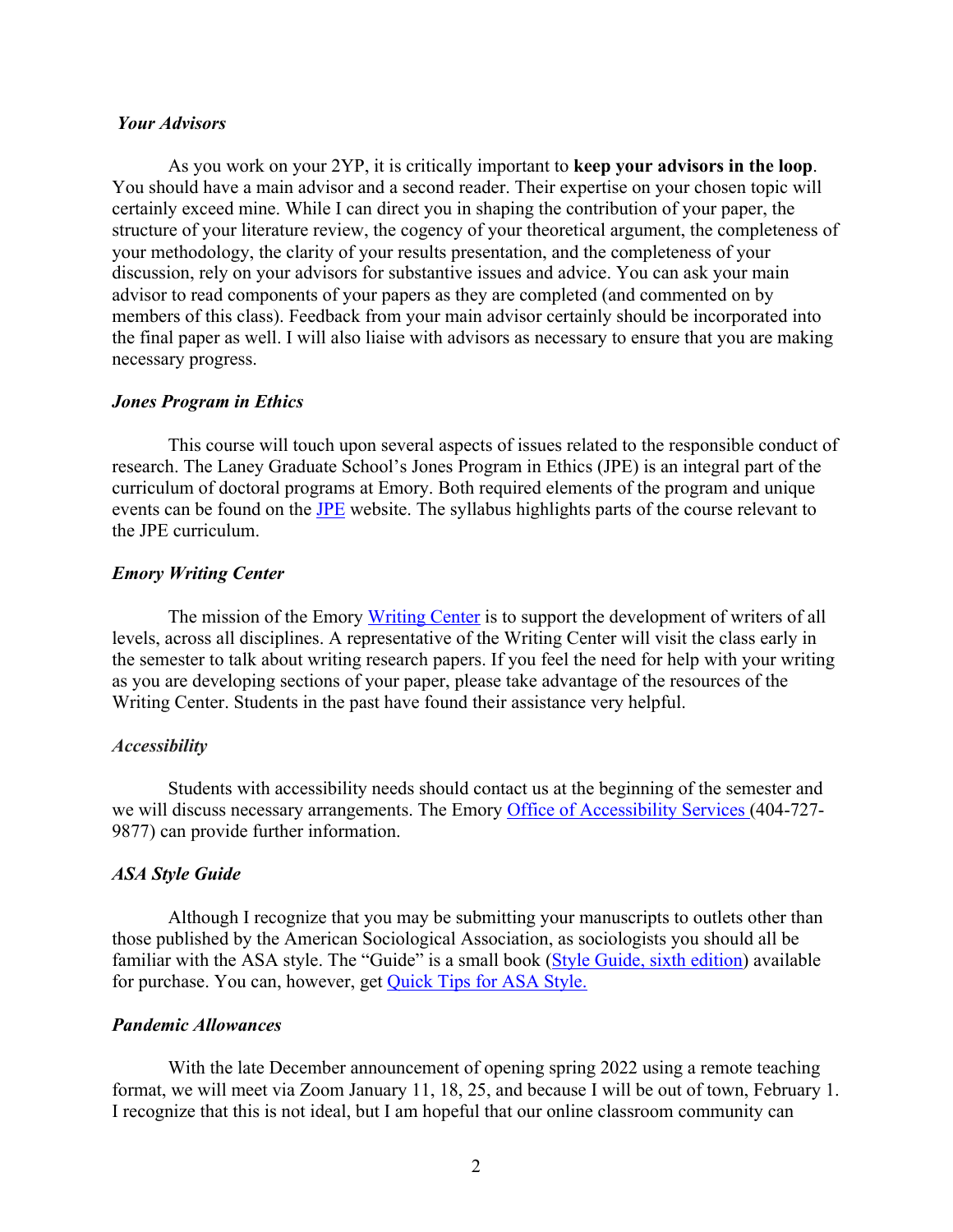#### *Your Advisors*

As you work on your 2YP, it is critically important to **keep your advisors in the loop**. You should have a main advisor and a second reader. Their expertise on your chosen topic will certainly exceed mine. While I can direct you in shaping the contribution of your paper, the structure of your literature review, the cogency of your theoretical argument, the completeness of your methodology, the clarity of your results presentation, and the completeness of your discussion, rely on your advisors for substantive issues and advice. You can ask your main advisor to read components of your papers as they are completed (and commented on by members of this class). Feedback from your main advisor certainly should be incorporated into the final paper as well. I will also liaise with advisors as necessary to ensure that you are making necessary progress.

#### *Jones Program in Ethics*

This course will touch upon several aspects of issues related to the responsible conduct of research. The Laney Graduate School's Jones Program in Ethics (JPE) is an integral part of the curriculum of doctoral programs at Emory. Both required elements of the program and unique events can be found on the JPE website. The syllabus highlights parts of the course relevant to the JPE curriculum.

## *Emory Writing Center*

The mission of the Emory Writing Center is to support the development of writers of all levels, across all disciplines. A representative of the Writing Center will visit the class early in the semester to talk about writing research papers. If you feel the need for help with your writing as you are developing sections of your paper, please take advantage of the resources of the Writing Center. Students in the past have found their assistance very helpful.

#### *Accessibility*

Students with accessibility needs should contact us at the beginning of the semester and we will discuss necessary arrangements. The Emory Office of Accessibility Services (404-727-9877) can provide further information.

#### *ASA Style Guide*

Although I recognize that you may be submitting your manuscripts to outlets other than those published by the American Sociological Association, as sociologists you should all be familiar with the ASA style. The "Guide" is a small book (Style Guide, sixth edition) available for purchase. You can, however, get Quick Tips for ASA Style.

#### *Pandemic Allowances*

With the late December announcement of opening spring 2022 using a remote teaching format, we will meet via Zoom January 11, 18, 25, and because I will be out of town, February 1. I recognize that this is not ideal, but I am hopeful that our online classroom community can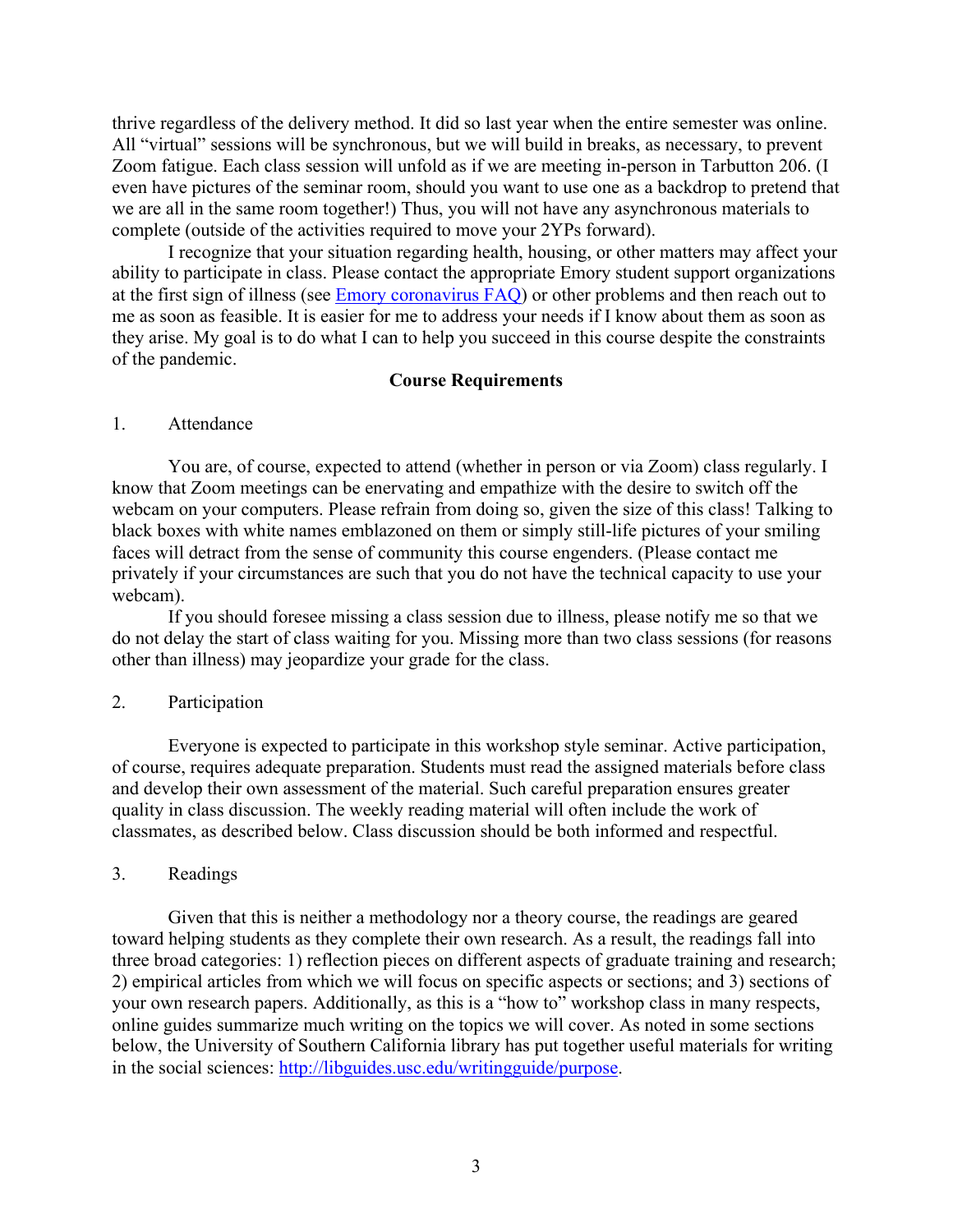thrive regardless of the delivery method. It did so last year when the entire semester was online. All "virtual" sessions will be synchronous, but we will build in breaks, as necessary, to prevent Zoom fatigue. Each class session will unfold as if we are meeting in-person in Tarbutton 206. (I even have pictures of the seminar room, should you want to use one as a backdrop to pretend that we are all in the same room together!) Thus, you will not have any asynchronous materials to complete (outside of the activities required to move your 2YPs forward).

I recognize that your situation regarding health, housing, or other matters may affect your ability to participate in class. Please contact the appropriate Emory student support organizations at the first sign of illness (see Emory coronavirus FAQ) or other problems and then reach out to me as soon as feasible. It is easier for me to address your needs if I know about them as soon as they arise. My goal is to do what I can to help you succeed in this course despite the constraints of the pandemic.

#### **Course Requirements**

### 1. Attendance

You are, of course, expected to attend (whether in person or via Zoom) class regularly. I know that Zoom meetings can be enervating and empathize with the desire to switch off the webcam on your computers. Please refrain from doing so, given the size of this class! Talking to black boxes with white names emblazoned on them or simply still-life pictures of your smiling faces will detract from the sense of community this course engenders. (Please contact me privately if your circumstances are such that you do not have the technical capacity to use your webcam).

If you should foresee missing a class session due to illness, please notify me so that we do not delay the start of class waiting for you. Missing more than two class sessions (for reasons other than illness) may jeopardize your grade for the class.

## 2. Participation

Everyone is expected to participate in this workshop style seminar. Active participation, of course, requires adequate preparation. Students must read the assigned materials before class and develop their own assessment of the material. Such careful preparation ensures greater quality in class discussion. The weekly reading material will often include the work of classmates, as described below. Class discussion should be both informed and respectful.

#### 3. Readings

Given that this is neither a methodology nor a theory course, the readings are geared toward helping students as they complete their own research. As a result, the readings fall into three broad categories: 1) reflection pieces on different aspects of graduate training and research; 2) empirical articles from which we will focus on specific aspects or sections; and 3) sections of your own research papers. Additionally, as this is a "how to" workshop class in many respects, online guides summarize much writing on the topics we will cover. As noted in some sections below, the University of Southern California library has put together useful materials for writing in the social sciences: http://libguides.usc.edu/writingguide/purpose.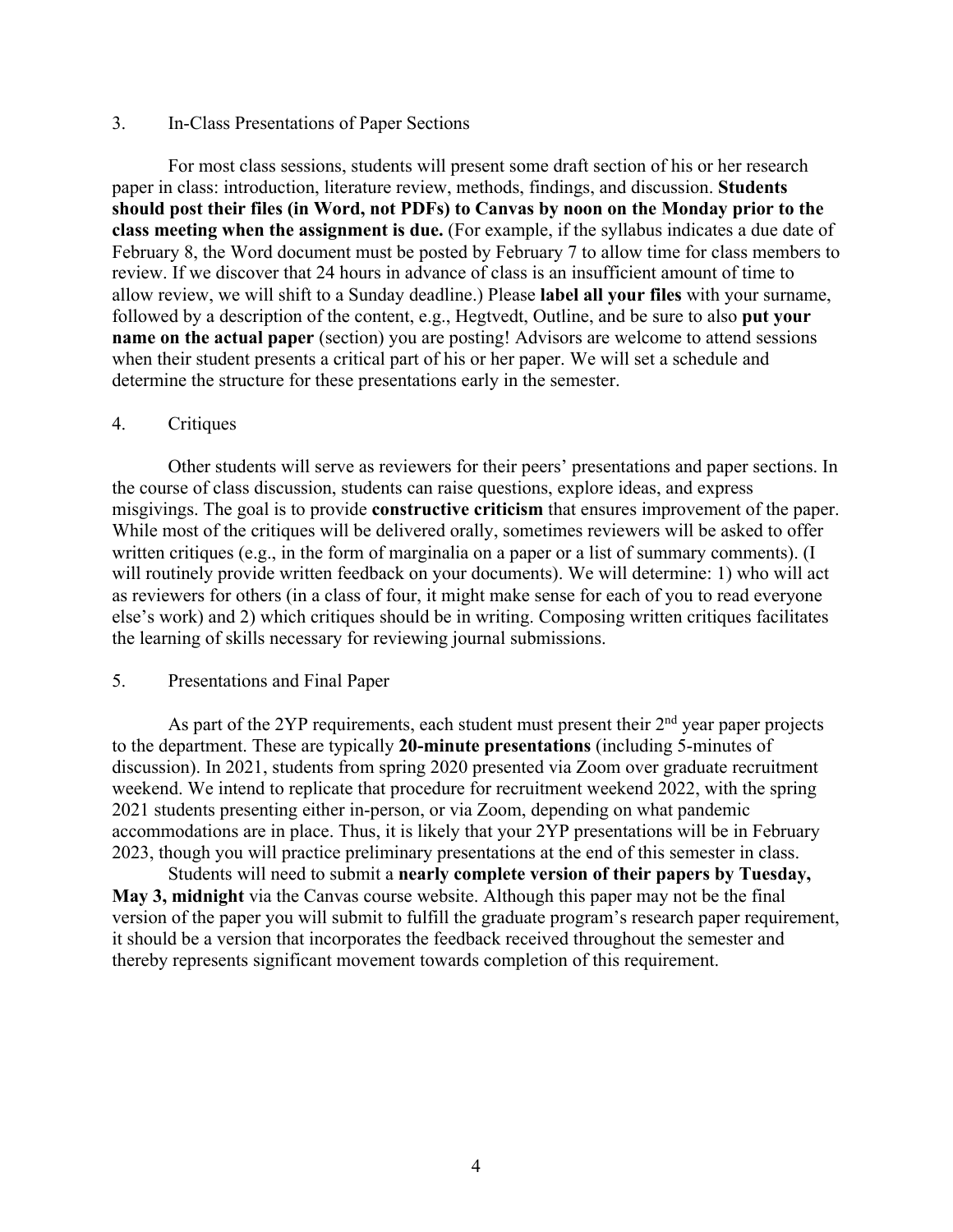## 3. In-Class Presentations of Paper Sections

For most class sessions, students will present some draft section of his or her research paper in class: introduction, literature review, methods, findings, and discussion. **Students should post their files (in Word, not PDFs) to Canvas by noon on the Monday prior to the class meeting when the assignment is due.** (For example, if the syllabus indicates a due date of February 8, the Word document must be posted by February 7 to allow time for class members to review. If we discover that 24 hours in advance of class is an insufficient amount of time to allow review, we will shift to a Sunday deadline.) Please **label all your files** with your surname, followed by a description of the content, e.g., Hegtvedt, Outline, and be sure to also **put your name on the actual paper** (section) you are posting! Advisors are welcome to attend sessions when their student presents a critical part of his or her paper. We will set a schedule and determine the structure for these presentations early in the semester.

#### 4. Critiques

Other students will serve as reviewers for their peers' presentations and paper sections. In the course of class discussion, students can raise questions, explore ideas, and express misgivings. The goal is to provide **constructive criticism** that ensures improvement of the paper. While most of the critiques will be delivered orally, sometimes reviewers will be asked to offer written critiques (e.g., in the form of marginalia on a paper or a list of summary comments). (I will routinely provide written feedback on your documents). We will determine: 1) who will act as reviewers for others (in a class of four, it might make sense for each of you to read everyone else's work) and 2) which critiques should be in writing. Composing written critiques facilitates the learning of skills necessary for reviewing journal submissions.

#### 5. Presentations and Final Paper

As part of the 2YP requirements, each student must present their  $2<sup>nd</sup>$  year paper projects to the department. These are typically **20-minute presentations** (including 5-minutes of discussion). In 2021, students from spring 2020 presented via Zoom over graduate recruitment weekend. We intend to replicate that procedure for recruitment weekend 2022, with the spring 2021 students presenting either in-person, or via Zoom, depending on what pandemic accommodations are in place. Thus, it is likely that your 2YP presentations will be in February 2023, though you will practice preliminary presentations at the end of this semester in class.

Students will need to submit a **nearly complete version of their papers by Tuesday, May 3, midnight** via the Canvas course website. Although this paper may not be the final version of the paper you will submit to fulfill the graduate program's research paper requirement, it should be a version that incorporates the feedback received throughout the semester and thereby represents significant movement towards completion of this requirement.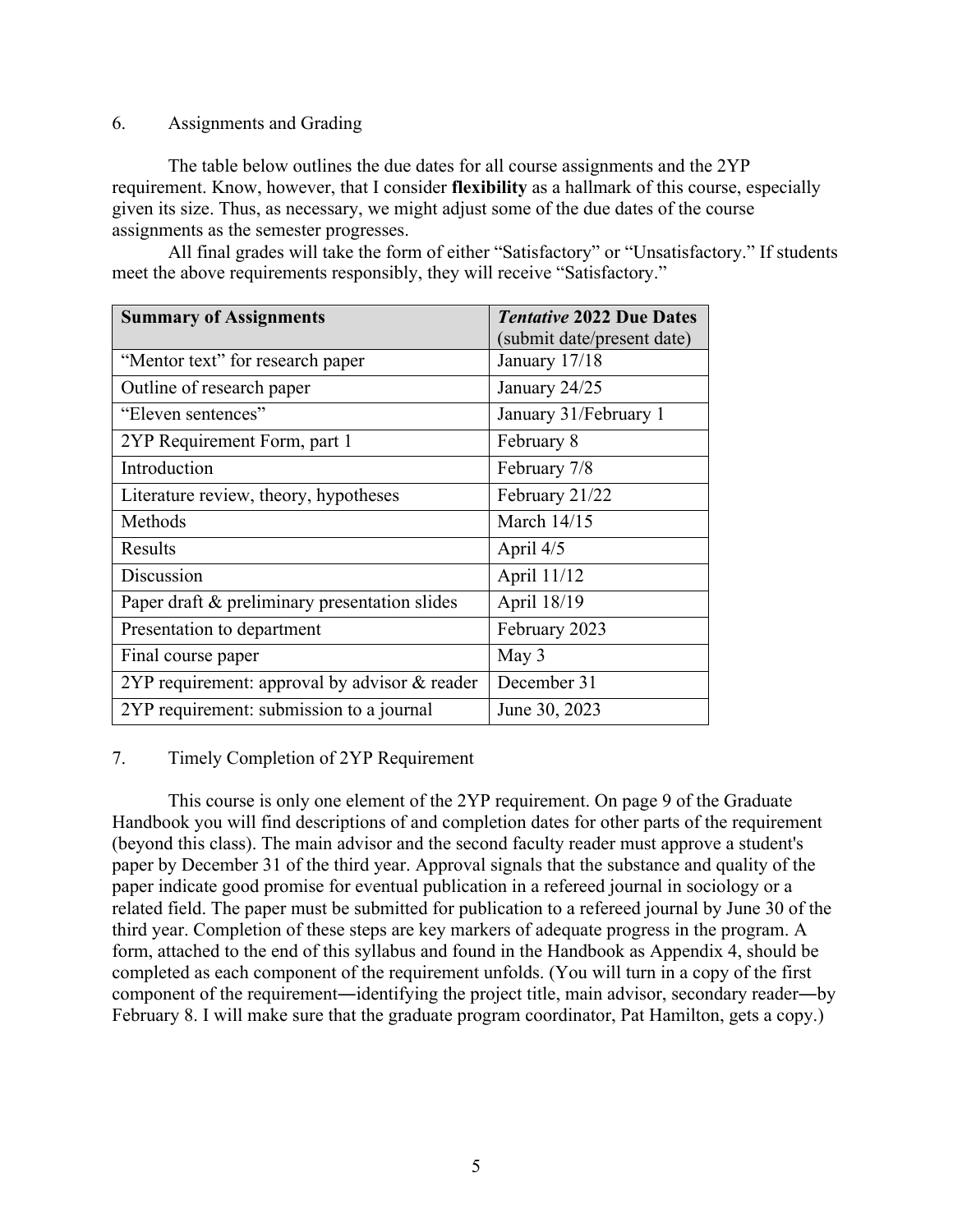## 6. Assignments and Grading

The table below outlines the due dates for all course assignments and the 2YP requirement. Know, however, that I consider **flexibility** as a hallmark of this course, especially given its size. Thus, as necessary, we might adjust some of the due dates of the course assignments as the semester progresses.

All final grades will take the form of either "Satisfactory" or "Unsatisfactory." If students meet the above requirements responsibly, they will receive "Satisfactory."

| <b>Summary of Assignments</b>                   | <b>Tentative 2022 Due Dates</b> |
|-------------------------------------------------|---------------------------------|
|                                                 | (submit date/present date)      |
| "Mentor text" for research paper                | January 17/18                   |
| Outline of research paper                       | January 24/25                   |
| "Eleven sentences"                              | January 31/February 1           |
| 2YP Requirement Form, part 1                    | February 8                      |
| Introduction                                    | February 7/8                    |
| Literature review, theory, hypotheses           | February 21/22                  |
| Methods                                         | March 14/15                     |
| <b>Results</b>                                  | April 4/5                       |
| Discussion                                      | April 11/12                     |
| Paper draft & preliminary presentation slides   | April 18/19                     |
| Presentation to department                      | February 2023                   |
| Final course paper                              | May 3                           |
| 2YP requirement: approval by advisor $&$ reader | December 31                     |
| 2YP requirement: submission to a journal        | June 30, 2023                   |

# 7. Timely Completion of 2YP Requirement

This course is only one element of the 2YP requirement. On page 9 of the Graduate Handbook you will find descriptions of and completion dates for other parts of the requirement (beyond this class). The main advisor and the second faculty reader must approve a student's paper by December 31 of the third year. Approval signals that the substance and quality of the paper indicate good promise for eventual publication in a refereed journal in sociology or a related field. The paper must be submitted for publication to a refereed journal by June 30 of the third year. Completion of these steps are key markers of adequate progress in the program. A form, attached to the end of this syllabus and found in the Handbook as Appendix 4, should be completed as each component of the requirement unfolds. (You will turn in a copy of the first component of the requirement―identifying the project title, main advisor, secondary reader―by February 8. I will make sure that the graduate program coordinator, Pat Hamilton, gets a copy.)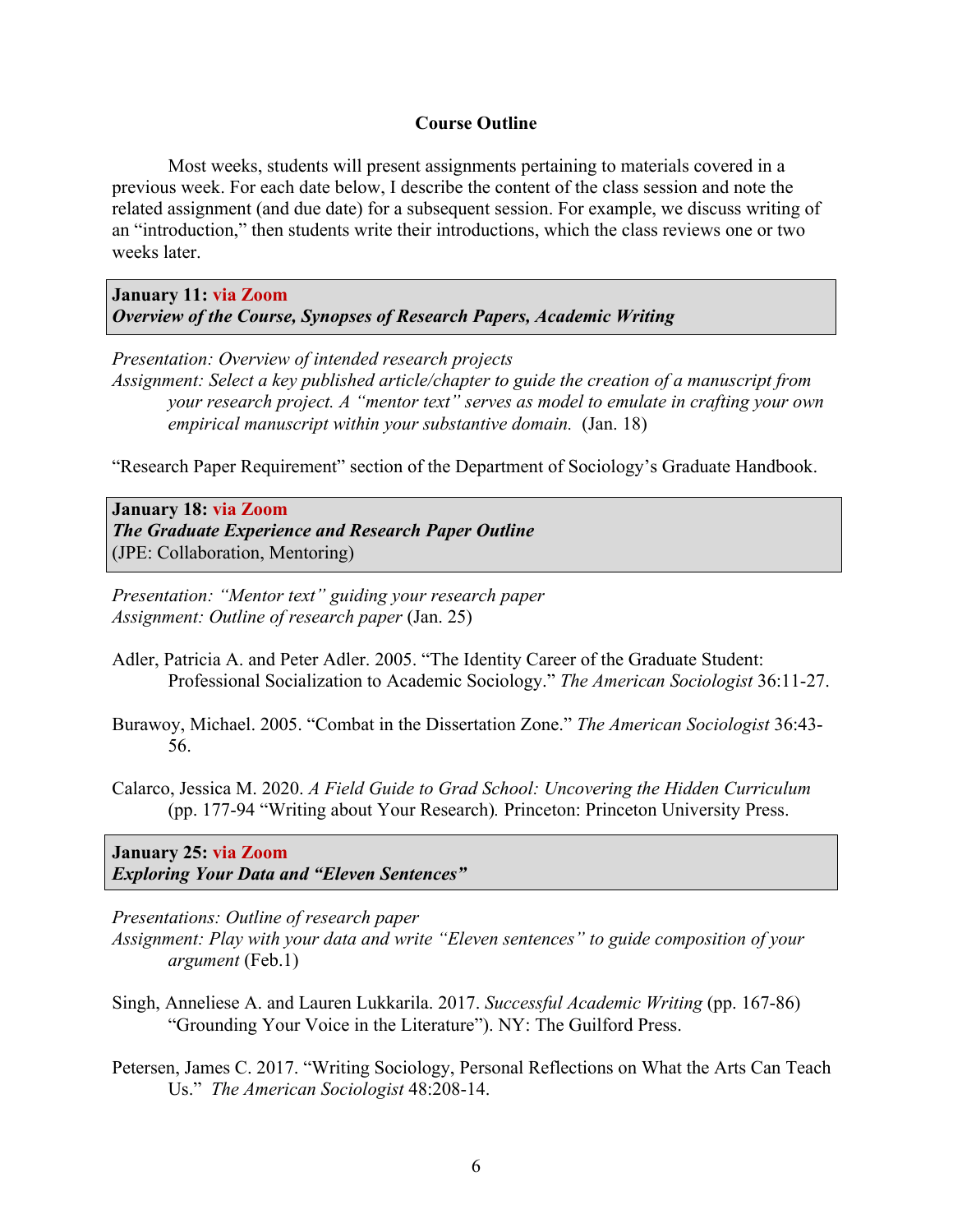#### **Course Outline**

Most weeks, students will present assignments pertaining to materials covered in a previous week. For each date below, I describe the content of the class session and note the related assignment (and due date) for a subsequent session. For example, we discuss writing of an "introduction," then students write their introductions, which the class reviews one or two weeks later.

**January 11: via Zoom**  *Overview of the Course, Synopses of Research Papers, Academic Writing*

*Presentation: Overview of intended research projects Assignment: Select a key published article/chapter to guide the creation of a manuscript from your research project. A "mentor text" serves as model to emulate in crafting your own empirical manuscript within your substantive domain.* (Jan. 18)

"Research Paper Requirement" section of the Department of Sociology's Graduate Handbook.

**January 18: via Zoom**  *The Graduate Experience and Research Paper Outline* (JPE: Collaboration, Mentoring)

*Presentation: "Mentor text" guiding your research paper Assignment: Outline of research paper* (Jan. 25)

- Adler, Patricia A. and Peter Adler. 2005. "The Identity Career of the Graduate Student: Professional Socialization to Academic Sociology." *The American Sociologist* 36:11-27.
- Burawoy, Michael. 2005. "Combat in the Dissertation Zone." *The American Sociologist* 36:43- 56.
- Calarco, Jessica M. 2020. *A Field Guide to Grad School: Uncovering the Hidden Curriculum* (pp. 177-94 "Writing about Your Research)*.* Princeton: Princeton University Press.

**January 25: via Zoom** *Exploring Your Data and "Eleven Sentences"* 

*Presentations: Outline of research paper* 

*Assignment: Play with your data and write "Eleven sentences" to guide composition of your argument* (Feb.1)

- Singh, Anneliese A. and Lauren Lukkarila. 2017. *Successful Academic Writing* (pp. 167-86) "Grounding Your Voice in the Literature"). NY: The Guilford Press.
- Petersen, James C. 2017. "Writing Sociology, Personal Reflections on What the Arts Can Teach Us." *The American Sociologist* 48:208-14.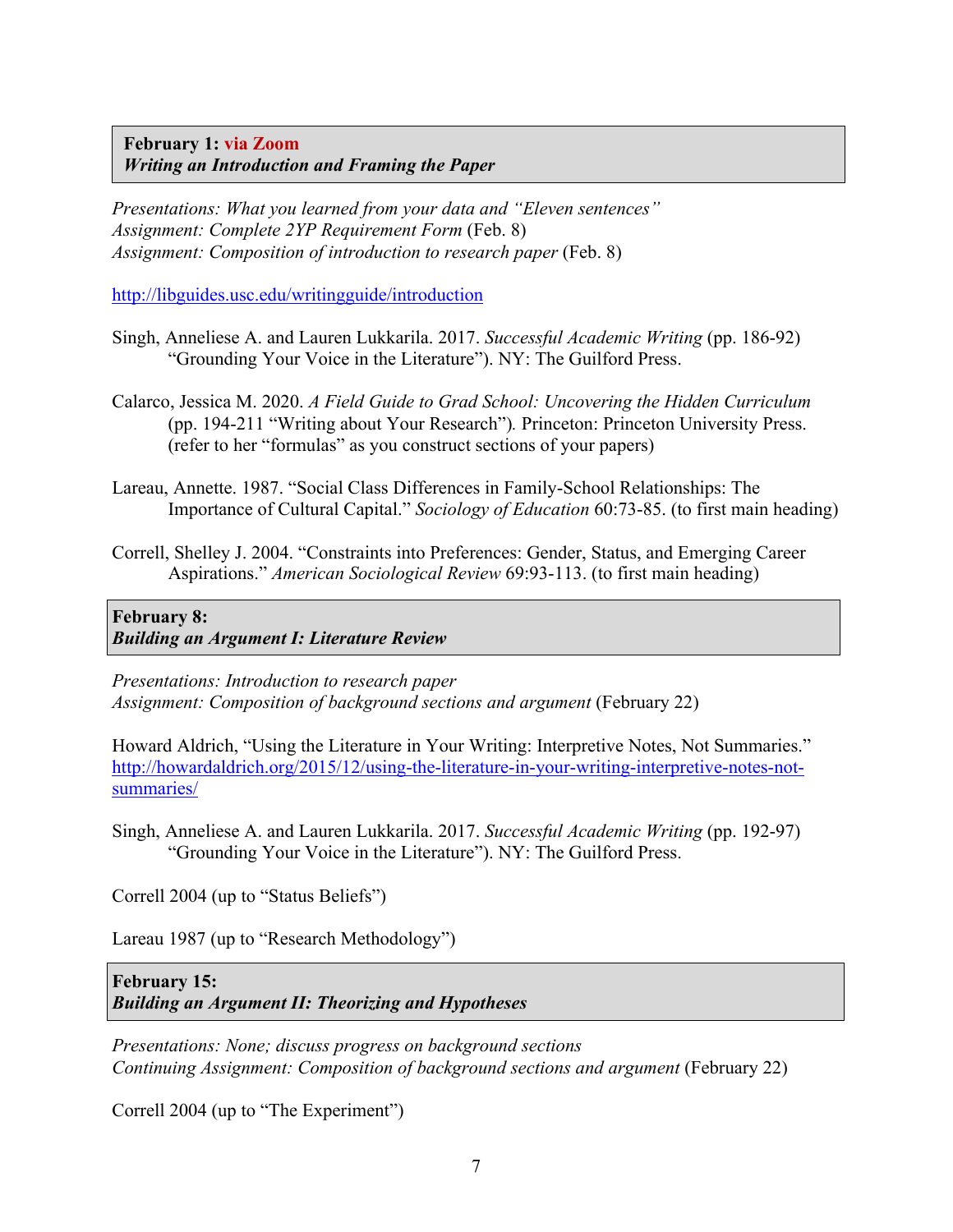**February 1: via Zoom** *Writing an Introduction and Framing the Paper* 

*Presentations: What you learned from your data and "Eleven sentences" Assignment: Complete 2YP Requirement Form* (Feb. 8) *Assignment: Composition of introduction to research paper* (Feb. 8)

http://libguides.usc.edu/writingguide/introduction

- Singh, Anneliese A. and Lauren Lukkarila. 2017. *Successful Academic Writing* (pp. 186-92) "Grounding Your Voice in the Literature"). NY: The Guilford Press.
- Calarco, Jessica M. 2020. *A Field Guide to Grad School: Uncovering the Hidden Curriculum*  (pp. 194-211 "Writing about Your Research")*.* Princeton: Princeton University Press. (refer to her "formulas" as you construct sections of your papers)
- Lareau, Annette. 1987. "Social Class Differences in Family-School Relationships: The Importance of Cultural Capital." *Sociology of Education* 60:73-85. (to first main heading)
- Correll, Shelley J. 2004. "Constraints into Preferences: Gender, Status, and Emerging Career Aspirations." *American Sociological Review* 69:93-113. (to first main heading)

# **February 8:**  *Building an Argument I: Literature Review*

*Presentations: Introduction to research paper Assignment: Composition of background sections and argument* (February 22)

Howard Aldrich, "Using the Literature in Your Writing: Interpretive Notes, Not Summaries." http://howardaldrich.org/2015/12/using-the-literature-in-your-writing-interpretive-notes-notsummaries/

Singh, Anneliese A. and Lauren Lukkarila. 2017. *Successful Academic Writing* (pp. 192-97) "Grounding Your Voice in the Literature"). NY: The Guilford Press.

Correll 2004 (up to "Status Beliefs")

Lareau 1987 (up to "Research Methodology")

# **February 15:**

*Building an Argument II: Theorizing and Hypotheses* 

*Presentations: None; discuss progress on background sections Continuing Assignment: Composition of background sections and argument* (February 22)

Correll 2004 (up to "The Experiment")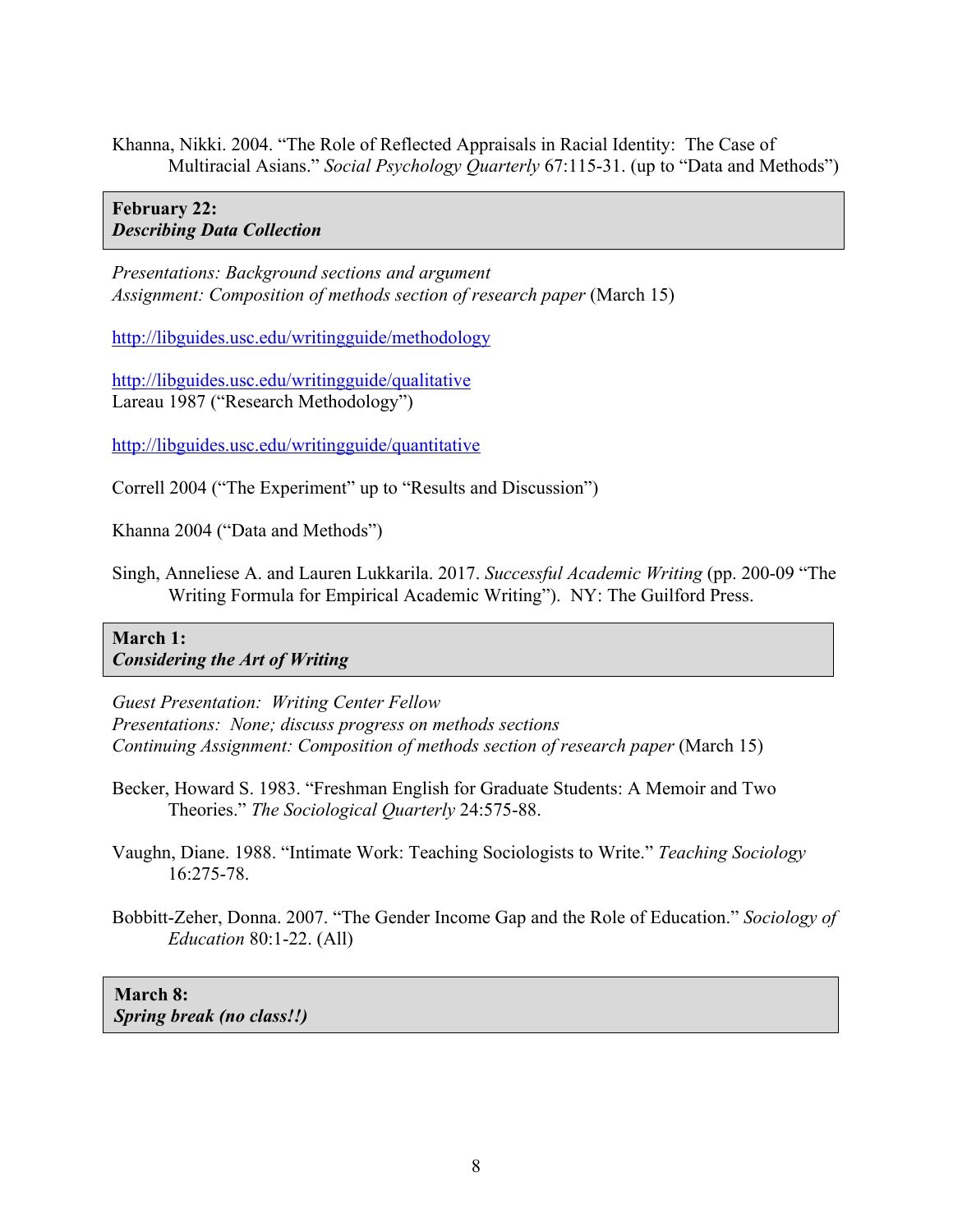Khanna, Nikki. 2004. "The Role of Reflected Appraisals in Racial Identity: The Case of Multiracial Asians." *Social Psychology Quarterly* 67:115-31. (up to "Data and Methods")

# **February 22:**  *Describing Data Collection*

*Presentations: Background sections and argument Assignment: Composition of methods section of research paper* (March 15)

http://libguides.usc.edu/writingguide/methodology

http://libguides.usc.edu/writingguide/qualitative Lareau 1987 ("Research Methodology")

http://libguides.usc.edu/writingguide/quantitative

Correll 2004 ("The Experiment" up to "Results and Discussion")

Khanna 2004 ("Data and Methods")

Singh, Anneliese A. and Lauren Lukkarila. 2017. *Successful Academic Writing* (pp. 200-09 "The Writing Formula for Empirical Academic Writing"). NY: The Guilford Press.

# **March 1:**  *Considering the Art of Writing*

*Guest Presentation: Writing Center Fellow Presentations: None; discuss progress on methods sections Continuing Assignment: Composition of methods section of research paper* (March 15)

- Becker, Howard S. 1983. "Freshman English for Graduate Students: A Memoir and Two Theories." *The Sociological Quarterly* 24:575-88.
- Vaughn, Diane. 1988. "Intimate Work: Teaching Sociologists to Write." *Teaching Sociology* 16:275-78.
- Bobbitt-Zeher, Donna. 2007. "The Gender Income Gap and the Role of Education." *Sociology of Education* 80:1-22. (All)

**March 8:**  *Spring break (no class!!)*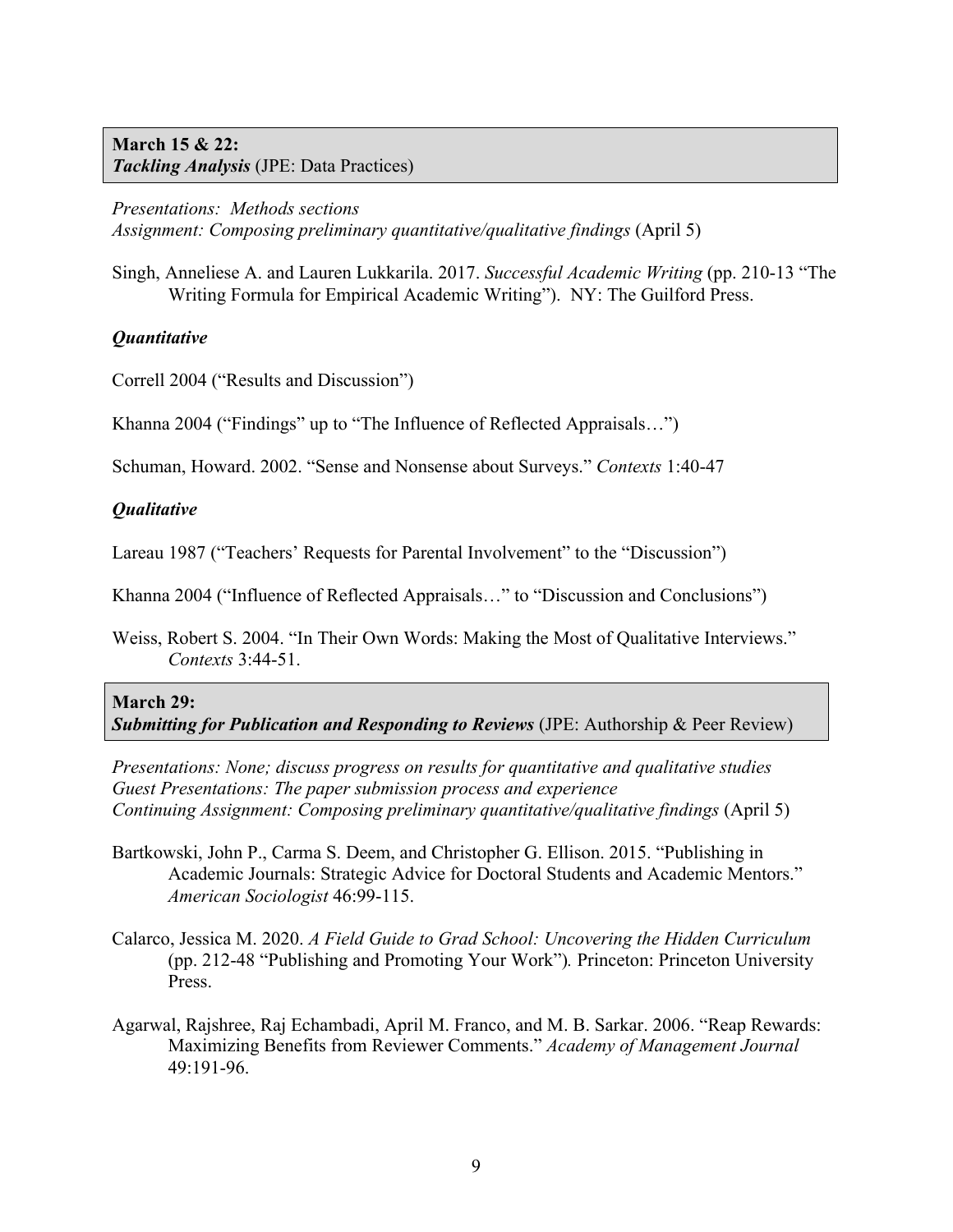# **March 15 & 22:**  *Tackling Analysis* (JPE: Data Practices)

*Presentations: Methods sections Assignment: Composing preliminary quantitative/qualitative findings* (April 5)

Singh, Anneliese A. and Lauren Lukkarila. 2017. *Successful Academic Writing* (pp. 210-13 "The Writing Formula for Empirical Academic Writing"). NY: The Guilford Press.

# *Quantitative*

Correll 2004 ("Results and Discussion")

Khanna 2004 ("Findings" up to "The Influence of Reflected Appraisals…")

Schuman, Howard. 2002. "Sense and Nonsense about Surveys." *Contexts* 1:40-47

# *Qualitative*

Lareau 1987 ("Teachers' Requests for Parental Involvement" to the "Discussion")

Khanna 2004 ("Influence of Reflected Appraisals…" to "Discussion and Conclusions")

Weiss, Robert S. 2004. "In Their Own Words: Making the Most of Qualitative Interviews." *Contexts* 3:44-51.

# **March 29:**

*Submitting for Publication and Responding to Reviews* (JPE: Authorship & Peer Review)

*Presentations: None; discuss progress on results for quantitative and qualitative studies Guest Presentations: The paper submission process and experience Continuing Assignment: Composing preliminary quantitative/qualitative findings* (April 5)

- Bartkowski, John P., Carma S. Deem, and Christopher G. Ellison. 2015. "Publishing in Academic Journals: Strategic Advice for Doctoral Students and Academic Mentors." *American Sociologist* 46:99-115.
- Calarco, Jessica M. 2020. *A Field Guide to Grad School: Uncovering the Hidden Curriculum*  (pp. 212-48 "Publishing and Promoting Your Work")*.* Princeton: Princeton University Press.
- Agarwal, Rajshree, Raj Echambadi, April M. Franco, and M. B. Sarkar. 2006. "Reap Rewards: Maximizing Benefits from Reviewer Comments." *Academy of Management Journal* 49:191-96.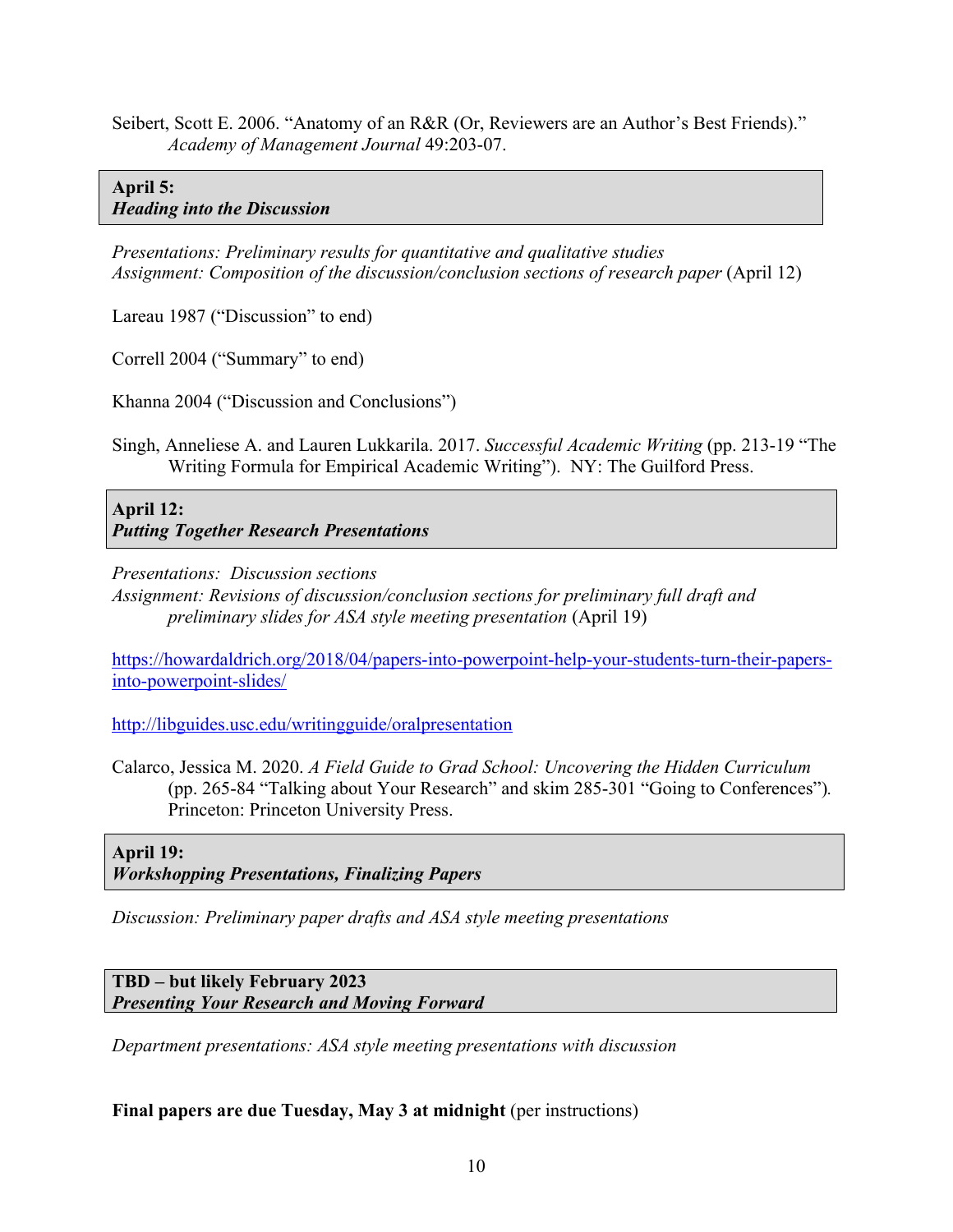Seibert, Scott E. 2006. "Anatomy of an R&R (Or, Reviewers are an Author's Best Friends)." *Academy of Management Journal* 49:203-07.

# **April 5:**  *Heading into the Discussion*

*Presentations: Preliminary results for quantitative and qualitative studies Assignment: Composition of the discussion/conclusion sections of research paper* (April 12)

Lareau 1987 ("Discussion" to end)

Correll 2004 ("Summary" to end)

Khanna 2004 ("Discussion and Conclusions")

Singh, Anneliese A. and Lauren Lukkarila. 2017. *Successful Academic Writing* (pp. 213-19 "The Writing Formula for Empirical Academic Writing"). NY: The Guilford Press.

**April 12:** *Putting Together Research Presentations* 

*Presentations: Discussion sections* 

*Assignment: Revisions of discussion/conclusion sections for preliminary full draft and preliminary slides for ASA style meeting presentation* (April 19)

https://howardaldrich.org/2018/04/papers-into-powerpoint-help-your-students-turn-their-papersinto-powerpoint-slides/

http://libguides.usc.edu/writingguide/oralpresentation

Calarco, Jessica M. 2020. *A Field Guide to Grad School: Uncovering the Hidden Curriculum*  (pp. 265-84 "Talking about Your Research" and skim 285-301 "Going to Conferences")*.*  Princeton: Princeton University Press.

**April 19:**  *Workshopping Presentations, Finalizing Papers* 

*Discussion: Preliminary paper drafts and ASA style meeting presentations*

**TBD – but likely February 2023** *Presenting Your Research and Moving Forward*

*Department presentations: ASA style meeting presentations with discussion*

# **Final papers are due Tuesday, May 3 at midnight** (per instructions)